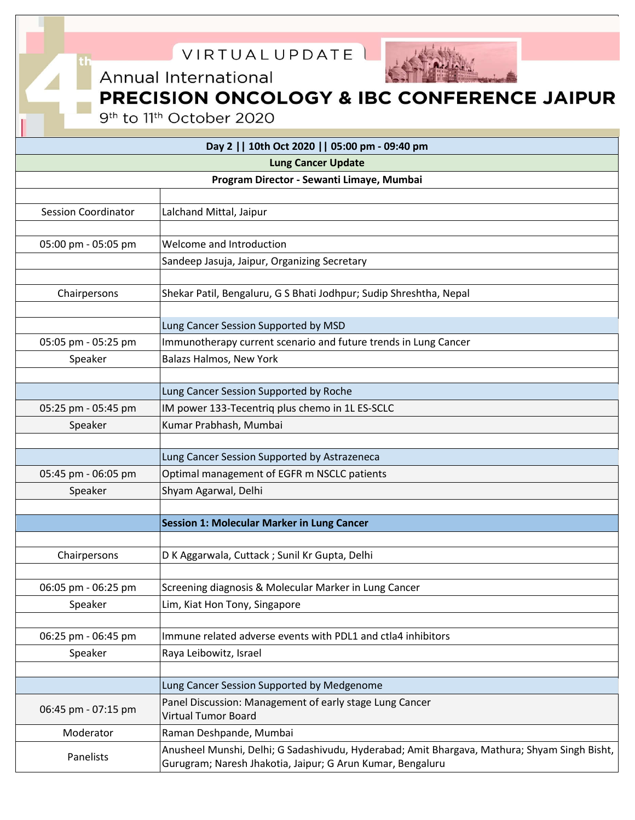

9<sup>th</sup> to 11<sup>th</sup> October 2020

| Day 2     10th Oct 2020     05:00 pm - 09:40 pm<br><b>Lung Cancer Update</b> |                                                                                              |
|------------------------------------------------------------------------------|----------------------------------------------------------------------------------------------|
|                                                                              |                                                                                              |
|                                                                              |                                                                                              |
| <b>Session Coordinator</b>                                                   | Lalchand Mittal, Jaipur                                                                      |
|                                                                              |                                                                                              |
| 05:00 pm - 05:05 pm                                                          | Welcome and Introduction                                                                     |
|                                                                              | Sandeep Jasuja, Jaipur, Organizing Secretary                                                 |
|                                                                              |                                                                                              |
| Chairpersons                                                                 | Shekar Patil, Bengaluru, G S Bhati Jodhpur; Sudip Shreshtha, Nepal                           |
|                                                                              | Lung Cancer Session Supported by MSD                                                         |
| 05:05 pm - 05:25 pm                                                          | Immunotherapy current scenario and future trends in Lung Cancer                              |
| Speaker                                                                      | Balazs Halmos, New York                                                                      |
|                                                                              |                                                                                              |
|                                                                              | Lung Cancer Session Supported by Roche                                                       |
| 05:25 pm - 05:45 pm                                                          | IM power 133-Tecentriq plus chemo in 1L ES-SCLC                                              |
| Speaker                                                                      | Kumar Prabhash, Mumbai                                                                       |
|                                                                              |                                                                                              |
|                                                                              | Lung Cancer Session Supported by Astrazeneca                                                 |
| 05:45 pm - 06:05 pm                                                          | Optimal management of EGFR m NSCLC patients                                                  |
| Speaker                                                                      | Shyam Agarwal, Delhi                                                                         |
|                                                                              |                                                                                              |
|                                                                              | <b>Session 1: Molecular Marker in Lung Cancer</b>                                            |
|                                                                              |                                                                                              |
| Chairpersons                                                                 | D K Aggarwala, Cuttack ; Sunil Kr Gupta, Delhi                                               |
|                                                                              |                                                                                              |
| 06:05 pm - 06:25 pm                                                          | Screening diagnosis & Molecular Marker in Lung Cancer                                        |
| Speaker                                                                      | Lim, Kiat Hon Tony, Singapore                                                                |
| 06:25 pm - 06:45 pm                                                          | Immune related adverse events with PDL1 and ctla4 inhibitors                                 |
| Speaker                                                                      | Raya Leibowitz, Israel                                                                       |
|                                                                              |                                                                                              |
|                                                                              | Lung Cancer Session Supported by Medgenome                                                   |
|                                                                              | Panel Discussion: Management of early stage Lung Cancer                                      |
| 06:45 pm - 07:15 pm                                                          | <b>Virtual Tumor Board</b>                                                                   |
| Moderator                                                                    | Raman Deshpande, Mumbai                                                                      |
| Panelists                                                                    | Anusheel Munshi, Delhi; G Sadashivudu, Hyderabad; Amit Bhargava, Mathura; Shyam Singh Bisht, |
|                                                                              | Gurugram; Naresh Jhakotia, Jaipur; G Arun Kumar, Bengaluru                                   |